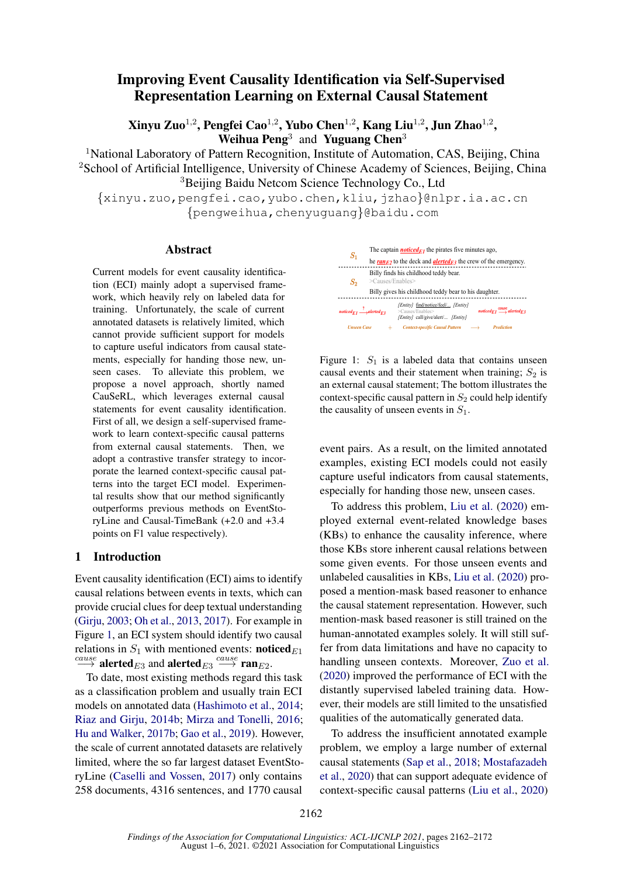# Improving Event Causality Identification via Self-Supervised Representation Learning on External Causal Statement

Xinyu Zuo $^{1,2}$ , Pengfei Cao $^{1,2}$ , Yubo Chen $^{1,2}$ , Kang Liu $^{1,2}$ , Jun Zhao $^{1,2}$ , Weihua Peng<sup>3</sup> and Yuguang Chen<sup>3</sup>

<sup>1</sup>National Laboratory of Pattern Recognition, Institute of Automation, CAS, Beijing, China <sup>2</sup>School of Artificial Intelligence, University of Chinese Academy of Sciences, Beijing, China <sup>3</sup>Beijing Baidu Netcom Science Technology Co., Ltd

{xinyu.zuo,pengfei.cao,yubo.chen,kliu,jzhao}@nlpr.ia.ac.cn {pengweihua,chenyuguang}@baidu.com

#### Abstract

Current models for event causality identification (ECI) mainly adopt a supervised framework, which heavily rely on labeled data for training. Unfortunately, the scale of current annotated datasets is relatively limited, which cannot provide sufficient support for models to capture useful indicators from causal statements, especially for handing those new, unseen cases. To alleviate this problem, we propose a novel approach, shortly named CauSeRL, which leverages external causal statements for event causality identification. First of all, we design a self-supervised framework to learn context-specific causal patterns from external causal statements. Then, we adopt a contrastive transfer strategy to incorporate the learned context-specific causal patterns into the target ECI model. Experimental results show that our method significantly outperforms previous methods on EventStoryLine and Causal-TimeBank (+2.0 and +3.4 points on F1 value respectively).

### 1 Introduction

Event causality identification (ECI) aims to identify causal relations between events in texts, which can provide crucial clues for deep textual understanding [\(Girju,](#page-8-0) [2003;](#page-8-0) [Oh et al.,](#page-9-0) [2013,](#page-9-0) [2017\)](#page-9-1). For example in Figure [1,](#page-0-0) an ECI system should identify two causal relations in  $S_1$  with mentioned events: **noticed** $_{E1}$  $\stackrel{cause}{\longrightarrow}$  alerted $_{E3}$  and alerted $_{E3} \stackrel{cause}{\longrightarrow}$  ran $_{E2}.$ 

To date, most existing methods regard this task as a classification problem and usually train ECI models on annotated data [\(Hashimoto et al.,](#page-8-1) [2014;](#page-8-1) [Riaz and Girju,](#page-9-2) [2014b;](#page-9-2) [Mirza and Tonelli,](#page-9-3) [2016;](#page-9-3) [Hu and Walker,](#page-9-4) [2017b;](#page-9-4) [Gao et al.,](#page-8-2) [2019\)](#page-8-2). However, the scale of current annotated datasets are relatively limited, where the so far largest dataset EventStoryLine [\(Caselli and Vossen,](#page-8-3) [2017\)](#page-8-3) only contains 258 documents, 4316 sentences, and 1770 causal

<span id="page-0-0"></span>

Figure 1:  $S_1$  is a labeled data that contains unseen causal events and their statement when training;  $S_2$  is an external causal statement; The bottom illustrates the context-specific causal pattern in  $S_2$  could help identify the causality of unseen events in  $S_1$ .

event pairs. As a result, on the limited annotated examples, existing ECI models could not easily capture useful indicators from causal statements, especially for handing those new, unseen cases.

To address this problem, [Liu et al.](#page-9-5) [\(2020\)](#page-9-5) employed external event-related knowledge bases (KBs) to enhance the causality inference, where those KBs store inherent causal relations between some given events. For those unseen events and unlabeled causalities in KBs, [Liu et al.](#page-9-5) [\(2020\)](#page-9-5) proposed a mention-mask based reasoner to enhance the causal statement representation. However, such mention-mask based reasoner is still trained on the human-annotated examples solely. It will still suffer from data limitations and have no capacity to handling unseen contexts. Moreover, [Zuo et al.](#page-10-0) [\(2020\)](#page-10-0) improved the performance of ECI with the distantly supervised labeled training data. However, their models are still limited to the unsatisfied qualities of the automatically generated data.

To address the insufficient annotated example problem, we employ a large number of external causal statements [\(Sap et al.,](#page-9-6) [2018;](#page-9-6) [Mostafazadeh](#page-9-7) [et al.,](#page-9-7) [2020\)](#page-9-7) that can support adequate evidence of context-specific causal patterns [\(Liu et al.,](#page-9-5) [2020\)](#page-9-5)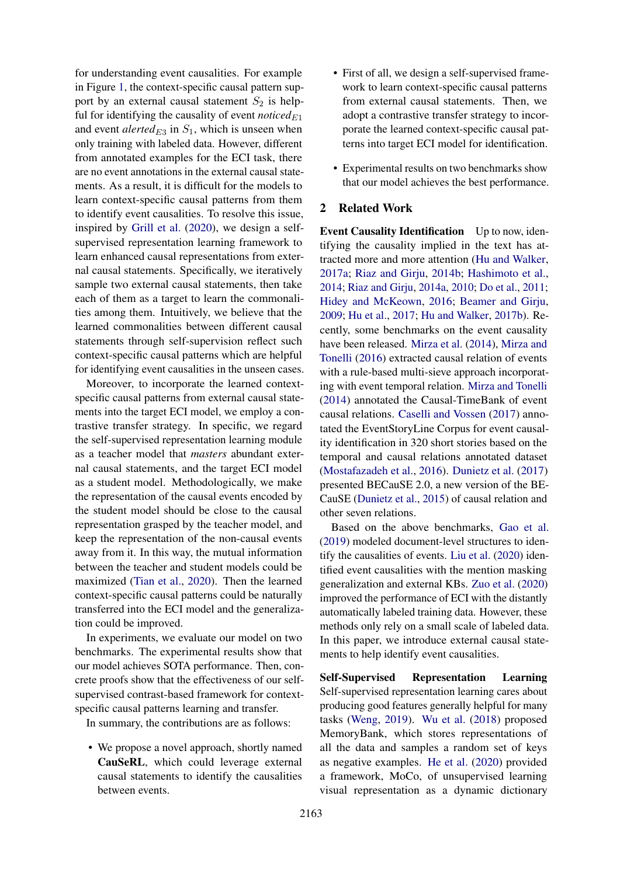for understanding event causalities. For example in Figure [1,](#page-0-0) the context-specific causal pattern support by an external causal statement  $S_2$  is helpful for identifying the causality of event *noticed* $E_1$ and event  $\det(\text{det}(E_3 \text{ in } S_1, \text{ which is unseen when}))$ only training with labeled data. However, different from annotated examples for the ECI task, there are no event annotations in the external causal statements. As a result, it is difficult for the models to learn context-specific causal patterns from them to identify event causalities. To resolve this issue, inspired by [Grill et al.](#page-8-4) [\(2020\)](#page-8-4), we design a selfsupervised representation learning framework to learn enhanced causal representations from external causal statements. Specifically, we iteratively sample two external causal statements, then take each of them as a target to learn the commonalities among them. Intuitively, we believe that the learned commonalities between different causal statements through self-supervision reflect such context-specific causal patterns which are helpful for identifying event causalities in the unseen cases.

Moreover, to incorporate the learned contextspecific causal patterns from external causal statements into the target ECI model, we employ a contrastive transfer strategy. In specific, we regard the self-supervised representation learning module as a teacher model that *masters* abundant external causal statements, and the target ECI model as a student model. Methodologically, we make the representation of the causal events encoded by the student model should be close to the causal representation grasped by the teacher model, and keep the representation of the non-causal events away from it. In this way, the mutual information between the teacher and student models could be maximized [\(Tian et al.,](#page-10-1) [2020\)](#page-10-1). Then the learned context-specific causal patterns could be naturally transferred into the ECI model and the generalization could be improved.

In experiments, we evaluate our model on two benchmarks. The experimental results show that our model achieves SOTA performance. Then, concrete proofs show that the effectiveness of our selfsupervised contrast-based framework for contextspecific causal patterns learning and transfer.

In summary, the contributions are as follows:

• We propose a novel approach, shortly named CauSeRL, which could leverage external causal statements to identify the causalities between events.

- First of all, we design a self-supervised framework to learn context-specific causal patterns from external causal statements. Then, we adopt a contrastive transfer strategy to incorporate the learned context-specific causal patterns into target ECI model for identification.
- Experimental results on two benchmarks show that our model achieves the best performance.

### 2 Related Work

Event Causality Identification Up to now, identifying the causality implied in the text has attracted more and more attention [\(Hu and Walker,](#page-9-8) [2017a;](#page-9-8) [Riaz and Girju,](#page-9-2) [2014b;](#page-9-2) [Hashimoto et al.,](#page-8-1) [2014;](#page-8-1) [Riaz and Girju,](#page-9-9) [2014a,](#page-9-9) [2010;](#page-9-10) [Do et al.,](#page-8-5) [2011;](#page-8-5) [Hidey and McKeown,](#page-9-11) [2016;](#page-9-11) [Beamer and Girju,](#page-8-6) [2009;](#page-8-6) [Hu et al.,](#page-9-12) [2017;](#page-9-12) [Hu and Walker,](#page-9-4) [2017b\)](#page-9-4). Recently, some benchmarks on the event causality have been released. [Mirza et al.](#page-9-13) [\(2014\)](#page-9-13), [Mirza and](#page-9-3) [Tonelli](#page-9-3) [\(2016\)](#page-9-3) extracted causal relation of events with a rule-based multi-sieve approach incorporating with event temporal relation. [Mirza and Tonelli](#page-9-14) [\(2014\)](#page-9-14) annotated the Causal-TimeBank of event causal relations. [Caselli and Vossen](#page-8-3) [\(2017\)](#page-8-3) annotated the EventStoryLine Corpus for event causality identification in 320 short stories based on the temporal and causal relations annotated dataset [\(Mostafazadeh et al.,](#page-9-15) [2016\)](#page-9-15). [Dunietz et al.](#page-8-7) [\(2017\)](#page-8-7) presented BECauSE 2.0, a new version of the BE-CauSE [\(Dunietz et al.,](#page-8-8) [2015\)](#page-8-8) of causal relation and other seven relations.

Based on the above benchmarks, [Gao et al.](#page-8-2) [\(2019\)](#page-8-2) modeled document-level structures to identify the causalities of events. [Liu et al.](#page-9-5) [\(2020\)](#page-9-5) identified event causalities with the mention masking generalization and external KBs. [Zuo et al.](#page-10-0) [\(2020\)](#page-10-0) improved the performance of ECI with the distantly automatically labeled training data. However, these methods only rely on a small scale of labeled data. In this paper, we introduce external causal statements to help identify event causalities.

Self-Supervised Representation Learning Self-supervised representation learning cares about producing good features generally helpful for many tasks [\(Weng,](#page-10-2) [2019\)](#page-10-2). [Wu et al.](#page-10-3) [\(2018\)](#page-10-3) proposed MemoryBank, which stores representations of all the data and samples a random set of keys as negative examples. [He et al.](#page-9-16) [\(2020\)](#page-9-16) provided a framework, MoCo, of unsupervised learning visual representation as a dynamic dictionary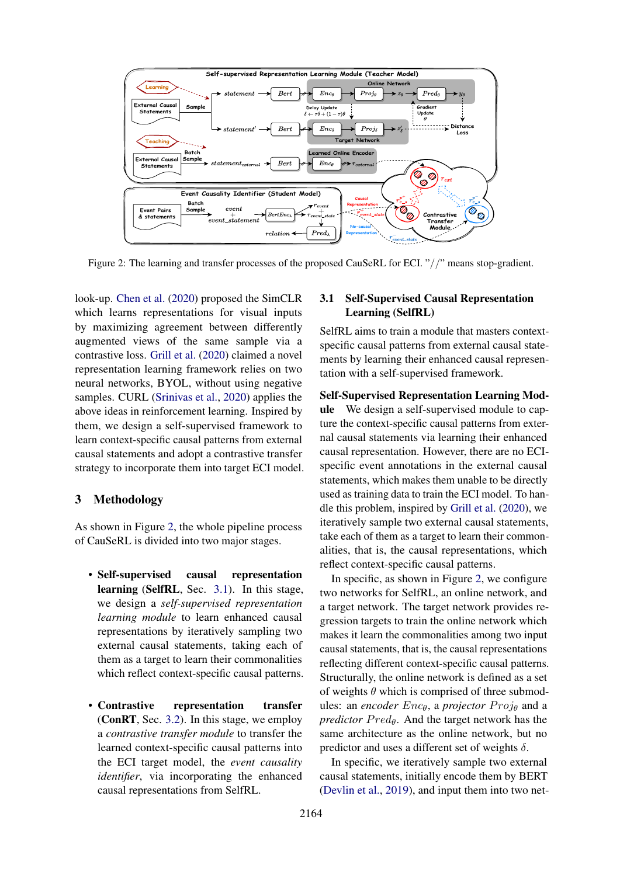<span id="page-2-0"></span>

Figure 2: The learning and transfer processes of the proposed CauSeRL for ECI. "//" means stop-gradient.

look-up. [Chen et al.](#page-8-9) [\(2020\)](#page-8-9) proposed the SimCLR which learns representations for visual inputs by maximizing agreement between differently augmented views of the same sample via a contrastive loss. [Grill et al.](#page-8-4) [\(2020\)](#page-8-4) claimed a novel representation learning framework relies on two neural networks, BYOL, without using negative samples. CURL [\(Srinivas et al.,](#page-10-4) [2020\)](#page-10-4) applies the above ideas in reinforcement learning. Inspired by them, we design a self-supervised framework to learn context-specific causal patterns from external causal statements and adopt a contrastive transfer strategy to incorporate them into target ECI model.

### 3 Methodology

As shown in Figure [2,](#page-2-0) the whole pipeline process of CauSeRL is divided into two major stages.

- Self-supervised causal representation learning (SelfRL, Sec. [3.1\)](#page-2-1). In this stage, we design a *self-supervised representation learning module* to learn enhanced causal representations by iteratively sampling two external causal statements, taking each of them as a target to learn their commonalities which reflect context-specific causal patterns.
- Contrastive representation transfer (ConRT, Sec. [3.2\)](#page-3-0). In this stage, we employ a *contrastive transfer module* to transfer the learned context-specific causal patterns into the ECI target model, the *event causality identifier*, via incorporating the enhanced causal representations from SelfRL.

### <span id="page-2-1"></span>3.1 Self-Supervised Causal Representation Learning (SelfRL)

SelfRL aims to train a module that masters contextspecific causal patterns from external causal statements by learning their enhanced causal representation with a self-supervised framework.

#### Self-Supervised Representation Learning Mod-

ule We design a self-supervised module to capture the context-specific causal patterns from external causal statements via learning their enhanced causal representation. However, there are no ECIspecific event annotations in the external causal statements, which makes them unable to be directly used as training data to train the ECI model. To handle this problem, inspired by [Grill et al.](#page-8-4) [\(2020\)](#page-8-4), we iteratively sample two external causal statements, take each of them as a target to learn their commonalities, that is, the causal representations, which reflect context-specific causal patterns.

In specific, as shown in Figure [2,](#page-2-0) we configure two networks for SelfRL, an online network, and a target network. The target network provides regression targets to train the online network which makes it learn the commonalities among two input causal statements, that is, the causal representations reflecting different context-specific causal patterns. Structurally, the online network is defined as a set of weights  $\theta$  which is comprised of three submodules: an *encoder*  $Enc_{\theta}$ , a *projector*  $Proj_{\theta}$  and a *predictor*  $Pred_{\theta}$ . And the target network has the same architecture as the online network, but no predictor and uses a different set of weights  $\delta$ .

In specific, we iteratively sample two external causal statements, initially encode them by BERT [\(Devlin et al.,](#page-8-10) [2019\)](#page-8-10), and input them into two net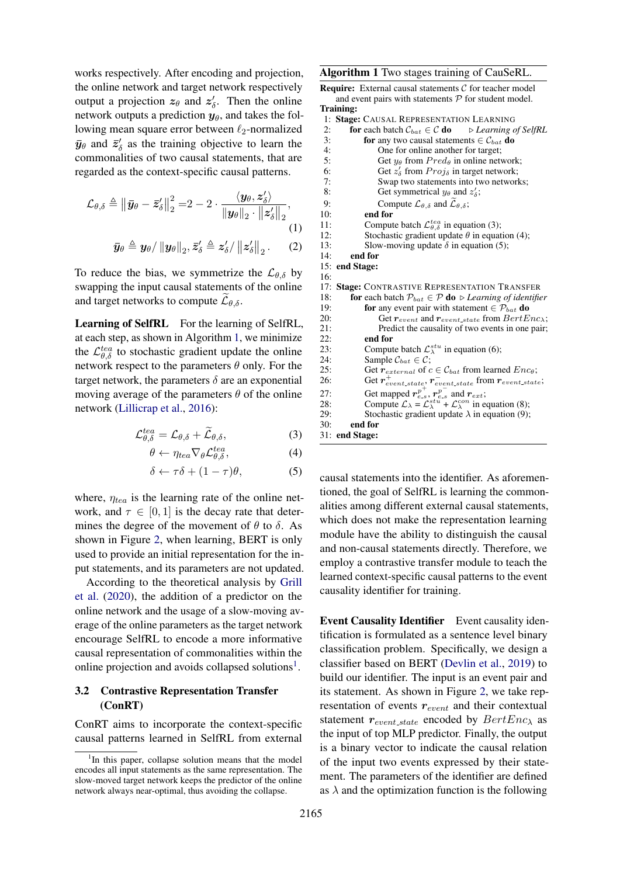works respectively. After encoding and projection, the online network and target network respectively output a projection  $z_{\theta}$  and  $z'_{\delta}$ . Then the online network outputs a prediction  $y_{\theta}$ , and takes the following mean square error between  $\ell_2$ -normalized  $\bar{y}_{\theta}$  and  $\bar{z}'_{\delta}$  as the training objective to learn the commonalities of two causal statements, that are regarded as the context-specific causal patterns.

$$
\mathcal{L}_{\theta,\delta} \triangleq \left\| \bar{\mathbf{y}}_{\theta} - \bar{\mathbf{z}}_{\delta}' \right\|_{2}^{2} = 2 - 2 \cdot \frac{\langle \mathbf{y}_{\theta}, \mathbf{z}_{\delta}' \rangle}{\left\| \mathbf{y}_{\theta} \right\|_{2} \cdot \left\| \mathbf{z}_{\delta}' \right\|_{2}},
$$
\n
$$
\bar{\mathbf{y}}_{\theta} \triangleq \mathbf{y}_{\theta} / \left\| \mathbf{y}_{\theta} \right\|_{2}, \bar{\mathbf{z}}_{\delta}' \triangleq \mathbf{z}_{\delta}' / \left\| \mathbf{z}_{\delta}' \right\|_{2}.
$$
\n(1)

To reduce the bias, we symmetrize the  $\mathcal{L}_{\theta,\delta}$  by swapping the input causal statements of the online and target networks to compute  $\mathcal{L}_{\theta,\delta}$ .

Learning of SelfRL For the learning of SelfRL, at each step, as shown in Algorithm [1,](#page-3-1) we minimize the  $\mathcal{L}_{\theta,\delta}^{tea}$  to stochastic gradient update the online network respect to the parameters  $\theta$  only. For the target network, the parameters  $\delta$  are an exponential moving average of the parameters  $\theta$  of the online network [\(Lillicrap et al.,](#page-9-17) [2016\)](#page-9-17):

$$
\mathcal{L}^{tea}_{\theta,\delta} = \mathcal{L}_{\theta,\delta} + \widetilde{\mathcal{L}}_{\theta,\delta},\tag{3}
$$

$$
\theta \leftarrow \eta_{tea} \nabla_{\theta} \mathcal{L}^{tea}_{\theta, \delta}, \tag{4}
$$

$$
\delta \leftarrow \tau \delta + (1 - \tau)\theta, \tag{5}
$$

where,  $\eta_{tea}$  is the learning rate of the online network, and  $\tau \in [0, 1]$  is the decay rate that determines the degree of the movement of  $\theta$  to  $\delta$ . As shown in Figure [2,](#page-2-0) when learning, BERT is only used to provide an initial representation for the input statements, and its parameters are not updated.

According to the theoretical analysis by [Grill](#page-8-4) [et al.](#page-8-4) [\(2020\)](#page-8-4), the addition of a predictor on the online network and the usage of a slow-moving average of the online parameters as the target network encourage SelfRL to encode a more informative causal representation of commonalities within the online projection and avoids collapsed solutions<sup>[1](#page-3-2)</sup>.

### <span id="page-3-0"></span>3.2 Contrastive Representation Transfer (ConRT)

ConRT aims to incorporate the context-specific causal patterns learned in SelfRL from external

<span id="page-3-1"></span>Algorithm 1 Two stages training of CauSeRL.

**Require:** External causal statements  $C$  for teacher model and event pairs with statements  $P$  for student model. Training:

| 1:                                     | <b>Stage: CAUSAL REPRESENTATION LEARNING</b>                                                                                                                                 |  |  |  |
|----------------------------------------|------------------------------------------------------------------------------------------------------------------------------------------------------------------------------|--|--|--|
| 2:                                     | <b>for</b> each batch $C_{bat} \in \mathcal{C}$ <b>do</b> $\Rightarrow$ <i>Learning of SelfRL</i>                                                                            |  |  |  |
| 3:                                     | <b>for</b> any two causal statements $\in \mathcal{C}_{bat}$ <b>do</b>                                                                                                       |  |  |  |
| 4:                                     | One for online another for target;                                                                                                                                           |  |  |  |
| 5:                                     | Get $y_{\theta}$ from $Pred_{\theta}$ in online network;                                                                                                                     |  |  |  |
| 6:                                     | Get $z'_{\delta}$ from $Proj_{\delta}$ in target network;                                                                                                                    |  |  |  |
| 7:                                     | Swap two statements into two networks;                                                                                                                                       |  |  |  |
| 8:                                     | Get symmetrical $y_{\theta}$ and $z'_{\delta}$ ;                                                                                                                             |  |  |  |
| 9:                                     | Compute $\mathcal{L}_{\theta,\delta}$ and $\widetilde{\mathcal{L}}_{\theta,\delta}$ ;                                                                                        |  |  |  |
| 10:                                    | end for                                                                                                                                                                      |  |  |  |
| 11:                                    | Compute batch $\mathcal{L}_{\theta, \delta}^{tea}$ in equation (3);                                                                                                          |  |  |  |
| 12:                                    | Stochastic gradient update $\theta$ in equation (4);                                                                                                                         |  |  |  |
| 13:                                    | Slow-moving update $\delta$ in equation (5);                                                                                                                                 |  |  |  |
| 14:                                    | end for                                                                                                                                                                      |  |  |  |
| 15:                                    | end Stage:                                                                                                                                                                   |  |  |  |
| 16:                                    |                                                                                                                                                                              |  |  |  |
|                                        |                                                                                                                                                                              |  |  |  |
|                                        | <b>Stage: CONTRASTIVE REPRESENTATION TRANSFER</b>                                                                                                                            |  |  |  |
|                                        | <b>for</b> each batch $\mathcal{P}_{bat} \in \mathcal{P}$ <b>do</b> $\triangleright$ <i>Learning of identifier</i>                                                           |  |  |  |
| 17:<br>18:<br>19:                      | for any event pair with statement $\in \mathcal{P}_{bat}$ do                                                                                                                 |  |  |  |
| 20:                                    | Get $r_{event}$ and $r_{event-state}$ from $BertEnc_{\lambda}$ ;                                                                                                             |  |  |  |
|                                        | Predict the causality of two events in one pair;                                                                                                                             |  |  |  |
|                                        | end for                                                                                                                                                                      |  |  |  |
|                                        | Compute batch $\mathcal{L}_{\lambda}^{stu}$ in equation (6);                                                                                                                 |  |  |  |
|                                        | Sample $\mathcal{C}_{bat} \in \mathcal{C}$ ;                                                                                                                                 |  |  |  |
|                                        | Get $r_{external}$ of $c \in \mathcal{C}_{bat}$ from learned $Enc_{\theta}$ ;                                                                                                |  |  |  |
| 21:<br>22:<br>23:<br>24:<br>25:<br>26: | Get $r_{event-state}^+$ , $r_{event-state}^-$ from $r_{event-state}$ ;                                                                                                       |  |  |  |
| 27:                                    |                                                                                                                                                                              |  |  |  |
| 28:                                    | Get mapped $r_{e,s}^{p^+}$ , $r_{e,s}^{p^-}$ and $r_{ext}$ ;<br>Compute $\mathcal{L}_{\lambda} = \mathcal{L}_{\lambda}^{stu} + \mathcal{L}_{\lambda}^{con}$ in equation (8); |  |  |  |
| 29:                                    | Stochastic gradient update $\lambda$ in equation (9);                                                                                                                        |  |  |  |
| 30:                                    | end for<br>31: end Stage:                                                                                                                                                    |  |  |  |

causal statements into the identifier. As aforementioned, the goal of SelfRL is learning the commonalities among different external causal statements, which does not make the representation learning module have the ability to distinguish the causal and non-causal statements directly. Therefore, we employ a contrastive transfer module to teach the learned context-specific causal patterns to the event causality identifier for training.

Event Causality Identifier Event causality identification is formulated as a sentence level binary classification problem. Specifically, we design a classifier based on BERT [\(Devlin et al.,](#page-8-10) [2019\)](#page-8-10) to build our identifier. The input is an event pair and its statement. As shown in Figure [2,](#page-2-0) we take representation of events  $r_{event}$  and their contextual statement  $r_{event\_state}$  encoded by  $BertEnc_{\lambda}$  as the input of top MLP predictor. Finally, the output is a binary vector to indicate the causal relation of the input two events expressed by their statement. The parameters of the identifier are defined as  $\lambda$  and the optimization function is the following

<span id="page-3-2"></span><sup>&</sup>lt;sup>1</sup>In this paper, collapse solution means that the model encodes all input statements as the same representation. The slow-moved target network keeps the predictor of the online network always near-optimal, thus avoiding the collapse.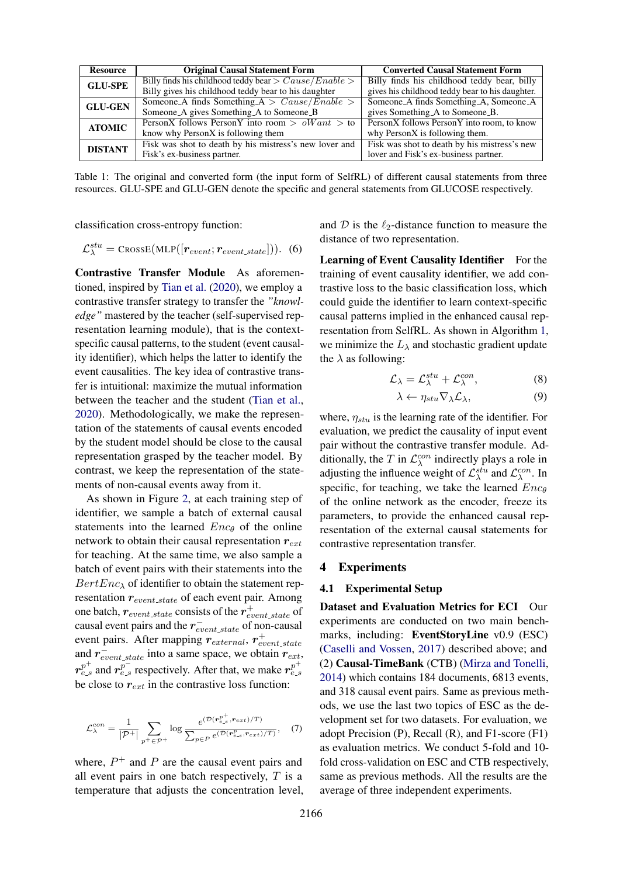<span id="page-4-0"></span>

| <b>Resource</b> | <b>Original Causal Statement Form</b>                           | <b>Converted Causal Statement Form</b>          |
|-----------------|-----------------------------------------------------------------|-------------------------------------------------|
| <b>GLU-SPE</b>  | Billy finds his childhood teddy bear $\geq$ Cause/Enable $\geq$ | Billy finds his childhood teddy bear, billy     |
|                 | Billy gives his childhood teddy bear to his daughter            | gives his childhood teddy bear to his daughter. |
| <b>GLU-GEN</b>  | Someone A finds Something $A > Cause/Enable >$                  | Someone_A finds Something_A, Someone_A          |
|                 | Someone_A gives Something_A to Someone_B                        | gives Something A to Someone B.                 |
| <b>ATOMIC</b>   | PersonX follows PersonY into room $>$ oW ant $>$ to             | PersonX follows PersonY into room, to know      |
|                 | know why PersonX is following them                              | why PersonX is following them.                  |
| <b>DISTANT</b>  | Fisk was shot to death by his mistress's new lover and          | Fisk was shot to death by his mistress's new    |
|                 | Fisk's ex-business partner.                                     | lover and Fisk's ex-business partner.           |

Table 1: The original and converted form (the input form of SelfRL) of different causal statements from three resources. GLU-SPE and GLU-GEN denote the specific and general statements from GLUCOSE respectively.

classification cross-entropy function:

$$
\mathcal{L}^{stu}_{\lambda} = \text{CrossE}(\text{MLP}([r_{event}; r_{event\_state}))).
$$
 (6)

Contrastive Transfer Module As aforementioned, inspired by [Tian et al.](#page-10-1) [\(2020\)](#page-10-1), we employ a contrastive transfer strategy to transfer the *"knowledge"* mastered by the teacher (self-supervised representation learning module), that is the contextspecific causal patterns, to the student (event causality identifier), which helps the latter to identify the event causalities. The key idea of contrastive transfer is intuitional: maximize the mutual information between the teacher and the student [\(Tian et al.,](#page-10-1) [2020\)](#page-10-1). Methodologically, we make the representation of the statements of causal events encoded by the student model should be close to the causal representation grasped by the teacher model. By contrast, we keep the representation of the statements of non-causal events away from it.

As shown in Figure [2,](#page-2-0) at each training step of identifier, we sample a batch of external causal statements into the learned  $Enc_{\theta}$  of the online network to obtain their causal representation  $r_{ext}$ for teaching. At the same time, we also sample a batch of event pairs with their statements into the  $BertEnc_{\lambda}$  of identifier to obtain the statement representation  $r_{event-state}$  of each event pair. Among one batch,  $r_{event\_state}$  consists of the  $r_{event\_state}^+$  of causal event pairs and the  $r_{event-state}^-$  of non-causal event pairs. After mapping  $r_{external}$ ,  $r_{event\_state}^+$ and  $r_{event-state}^-$  into a same space, we obtain  $r_{ext}$ ,  $r_{e-s}^{p^+}$  and  $r_{e-s}^{p^-}$  respectively. After that, we make  $r_{e-s}^{p^+}$ be close to  $r_{ext}$  in the contrastive loss function:

$$
\mathcal{L}_{\lambda}^{con} = \frac{1}{|\mathcal{P}^+|} \sum_{p^+ \in \mathcal{P}^+} \log \frac{e^{(\mathcal{D}(r_{e.s}^{p^+}, r_{ext})/T)}}{\sum_{p \in P} e^{(\mathcal{D}(r_{e.s}^p, r_{ext})/T)}}, \quad (7)
$$

where,  $P^+$  and  $P$  are the causal event pairs and all event pairs in one batch respectively,  $T$  is a temperature that adjusts the concentration level, and  $\mathcal D$  is the  $\ell_2$ -distance function to measure the distance of two representation.

Learning of Event Causality Identifier For the training of event causality identifier, we add contrastive loss to the basic classification loss, which could guide the identifier to learn context-specific causal patterns implied in the enhanced causal representation from SelfRL. As shown in Algorithm [1,](#page-3-1) we minimize the  $L_{\lambda}$  and stochastic gradient update the  $\lambda$  as following:

$$
\mathcal{L}_{\lambda} = \mathcal{L}_{\lambda}^{stu} + \mathcal{L}_{\lambda}^{con}, \tag{8}
$$

$$
\lambda \leftarrow \eta_{stu} \nabla_{\lambda} \mathcal{L}_{\lambda}, \tag{9}
$$

where,  $\eta_{stu}$  is the learning rate of the identifier. For evaluation, we predict the causality of input event pair without the contrastive transfer module. Additionally, the T in  $\mathcal{L}_{\lambda}^{con}$  indirectly plays a role in adjusting the influence weight of  $\mathcal{L}^{stu}_{\lambda}$  and  $\mathcal{L}^{con}_{\lambda}$ . In specific, for teaching, we take the learned  $Enc_{\theta}$ of the online network as the encoder, freeze its parameters, to provide the enhanced causal representation of the external causal statements for contrastive representation transfer.

#### 4 Experiments

### 4.1 Experimental Setup

Dataset and Evaluation Metrics for ECI Our experiments are conducted on two main benchmarks, including: EventStoryLine v0.9 (ESC) [\(Caselli and Vossen,](#page-8-3) [2017\)](#page-8-3) described above; and (2) Causal-TimeBank (CTB) [\(Mirza and Tonelli,](#page-9-14) [2014\)](#page-9-14) which contains 184 documents, 6813 events, and 318 causal event pairs. Same as previous methods, we use the last two topics of ESC as the development set for two datasets. For evaluation, we adopt Precision (P), Recall (R), and F1-score (F1) as evaluation metrics. We conduct 5-fold and 10 fold cross-validation on ESC and CTB respectively, same as previous methods. All the results are the average of three independent experiments.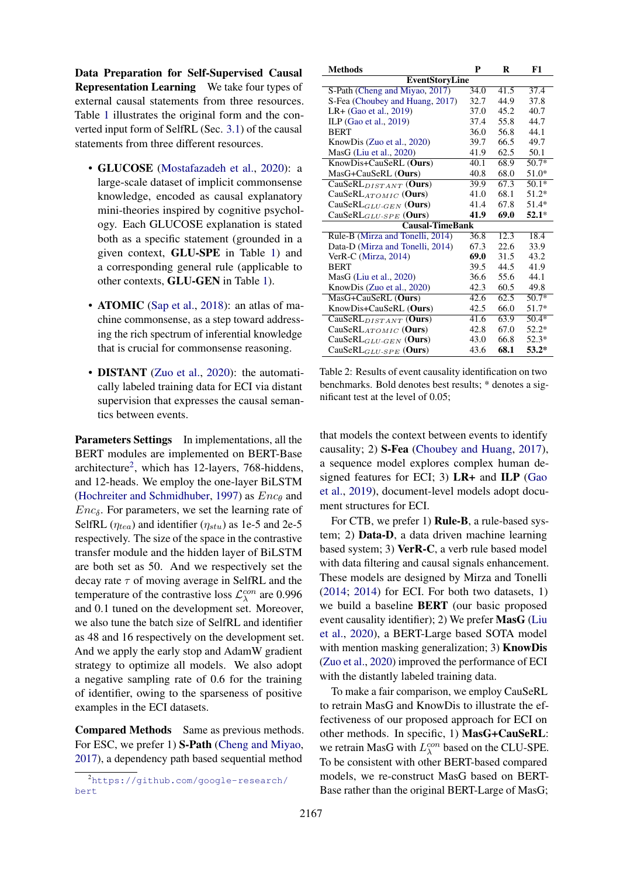Data Preparation for Self-Supervised Causal Representation Learning We take four types of external causal statements from three resources. Table [1](#page-4-0) illustrates the original form and the converted input form of SelfRL (Sec. [3.1\)](#page-2-1) of the causal statements from three different resources.

- GLUCOSE [\(Mostafazadeh et al.,](#page-9-7) [2020\)](#page-9-7): a large-scale dataset of implicit commonsense knowledge, encoded as causal explanatory mini-theories inspired by cognitive psychology. Each GLUCOSE explanation is stated both as a specific statement (grounded in a given context, GLU-SPE in Table [1\)](#page-4-0) and a corresponding general rule (applicable to other contexts, GLU-GEN in Table [1\)](#page-4-0).
- **ATOMIC** [\(Sap et al.,](#page-9-6) [2018\)](#page-9-6): an atlas of machine commonsense, as a step toward addressing the rich spectrum of inferential knowledge that is crucial for commonsense reasoning.
- DISTANT [\(Zuo et al.,](#page-10-0) [2020\)](#page-10-0): the automatically labeled training data for ECI via distant supervision that expresses the causal semantics between events.

Parameters Settings In implementations, all the BERT modules are implemented on BERT-Base architecture<sup>[2](#page-5-0)</sup>, which has 12-layers, 768-hiddens, and 12-heads. We employ the one-layer BiLSTM [\(Hochreiter and Schmidhuber,](#page-9-18) [1997\)](#page-9-18) as  $Enc_{\theta}$  and  $Enc_{\delta}$ . For parameters, we set the learning rate of SelfRL ( $\eta_{tea}$ ) and identifier ( $\eta_{stu}$ ) as 1e-5 and 2e-5 respectively. The size of the space in the contrastive transfer module and the hidden layer of BiLSTM are both set as 50. And we respectively set the decay rate  $\tau$  of moving average in SelfRL and the temperature of the contrastive loss  $\mathcal{L}_{\lambda}^{con}$  are 0.996 and 0.1 tuned on the development set. Moreover, we also tune the batch size of SelfRL and identifier as 48 and 16 respectively on the development set. And we apply the early stop and AdamW gradient strategy to optimize all models. We also adopt a negative sampling rate of 0.6 for the training of identifier, owing to the sparseness of positive examples in the ECI datasets.

Compared Methods Same as previous methods. For ESC, we prefer 1) S-Path [\(Cheng and Miyao,](#page-8-11) [2017\)](#page-8-11), a dependency path based sequential method

<span id="page-5-1"></span>

| <b>Methods</b>                     | P    | R    | F1      |  |
|------------------------------------|------|------|---------|--|
| <b>EventStoryLine</b>              |      |      |         |  |
| S-Path (Cheng and Miyao, 2017)     | 34.0 | 41.5 | 37.4    |  |
| S-Fea (Choubey and Huang, 2017)    | 32.7 | 44.9 | 37.8    |  |
| $LR+$ (Gao et al., 2019)           | 37.0 | 45.2 | 40.7    |  |
| ILP (Gao et al., 2019)             | 37.4 | 55.8 | 44.7    |  |
| <b>BERT</b>                        | 36.0 | 56.8 | 44.1    |  |
| KnowDis (Zuo et al., 2020)         | 39.7 | 66.5 | 49.7    |  |
| MasG (Liu et al., 2020)            | 41.9 | 62.5 | 50.1    |  |
| KnowDis+CauSeRL (Ours)             | 40.1 | 68.9 | $50.7*$ |  |
| MasG+CauSeRL (Ours)                | 40.8 | 68.0 | 51.0*   |  |
| CauSeRL $_{DISTANT}$ (Ours)        | 39.9 | 67.3 | $50.1*$ |  |
| CauSeRLATOMIC (Ours)               | 41.0 | 68.1 | 51.2*   |  |
| CauSeRL <sub>GLU-GEN</sub> (Ours)  | 41.4 | 67.8 | $51.4*$ |  |
| CauSeRL $_{GLU\text{-}SPE}$ (Ours) | 41.9 | 69.0 | $52.1*$ |  |
| <b>Causal-TimeBank</b>             |      |      |         |  |
| Rule-B (Mirza and Tonelli, 2014)   | 36.8 | 12.3 | 18.4    |  |
| Data-D (Mirza and Tonelli, 2014)   | 67.3 | 22.6 | 33.9    |  |
| VerR-C (Mirza, $2014$ )            | 69.0 | 31.5 | 43.2    |  |
| <b>BERT</b>                        | 39.5 | 44.5 | 41.9    |  |
| $MasG$ (Liu et al., 2020)          | 36.6 | 55.6 | 44.1    |  |
| KnowDis (Zuo et al., 2020)         | 42.3 | 60.5 | 49.8    |  |
| MasG+CauSeRL (Ours)                | 42.6 | 62.5 | $50.7*$ |  |
| KnowDis+CauSeRL (Ours)             | 42.5 | 66.0 | $51.7*$ |  |
| CauSeRL $_{DISTANT}$ (Ours)        | 41.6 | 63.9 | $50.4*$ |  |
| CauSeR $L_{ATOMIC}$ (Ours)         | 42.8 | 67.0 | $52.2*$ |  |
| CauSeRL $_{GLU\text{-}GEN}$ (Ours) | 43.0 | 66.8 | $52.3*$ |  |
| CauSeRL $_{GLU\text{-}SPE}$ (Ours) | 43.6 | 68.1 | $53.2*$ |  |

Table 2: Results of event causality identification on two benchmarks. Bold denotes best results; \* denotes a significant test at the level of 0.05;

that models the context between events to identify causality; 2) S-Fea [\(Choubey and Huang,](#page-8-12) [2017\)](#page-8-12), a sequence model explores complex human designed features for ECI; 3) LR+ and ILP [\(Gao](#page-8-2) [et al.,](#page-8-2) [2019\)](#page-8-2), document-level models adopt document structures for ECI.

For CTB, we prefer 1) Rule-B, a rule-based system; 2) Data-D, a data driven machine learning based system; 3) VerR-C, a verb rule based model with data filtering and causal signals enhancement. These models are designed by Mirza and Tonelli [\(2014;](#page-9-14) [2014\)](#page-9-19) for ECI. For both two datasets, 1) we build a baseline BERT (our basic proposed event causality identifier); 2) We prefer MasG [\(Liu](#page-9-5) [et al.,](#page-9-5) [2020\)](#page-9-5), a BERT-Large based SOTA model with mention masking generalization; 3) **KnowDis** [\(Zuo et al.,](#page-10-0) [2020\)](#page-10-0) improved the performance of ECI with the distantly labeled training data.

To make a fair comparison, we employ CauSeRL to retrain MasG and KnowDis to illustrate the effectiveness of our proposed approach for ECI on other methods. In specific, 1) MasG+CauSeRL: we retrain MasG with  $L_{\lambda}^{con}$  based on the CLU-SPE. To be consistent with other BERT-based compared models, we re-construct MasG based on BERT-Base rather than the original BERT-Large of MasG;

<span id="page-5-0"></span><sup>2</sup>[https://github.com/google-research/](https://github.com/google-research/bert) [bert](https://github.com/google-research/bert)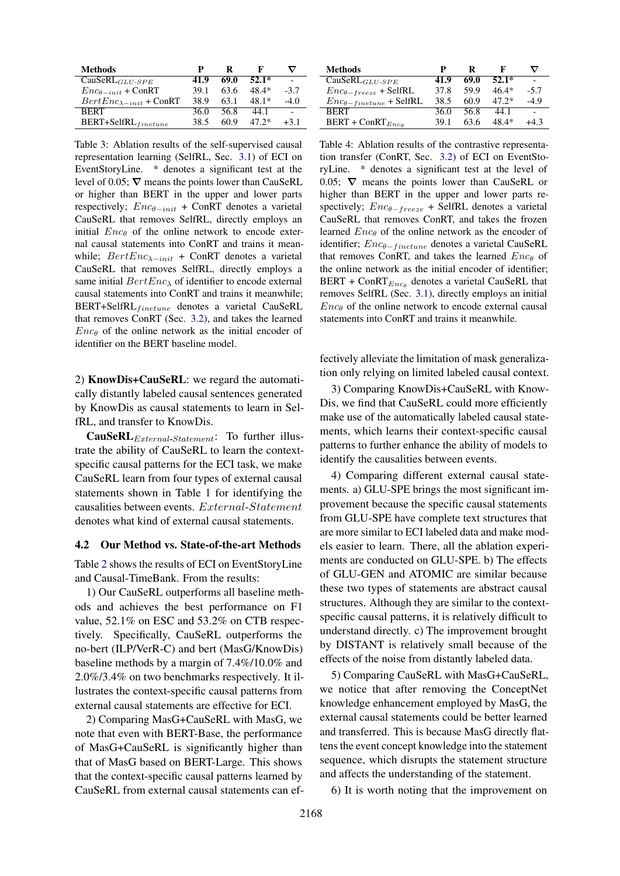<span id="page-6-0"></span>

| Methods                            | р    | ĸ    | к       |        |
|------------------------------------|------|------|---------|--------|
| $CauseRL_{GLU-SPE}$                | 41.9 | 69.0 | $52.1*$ |        |
| $Enc_{\theta - init}$ + ConRT      | 39.1 | 63.6 | 48.4*   | $-3.7$ |
| $BertEnc_{\lambda - init}$ + ConRT | 38.9 | 63.1 | 48.1*   | $-4.0$ |
| <b>RERT</b>                        | 36.0 | 56.8 | 44.1    |        |
| $BERT + SelfRL$ finetune           | 38.5 | 60 9 | $47.2*$ | $+3.1$ |

Table 3: Ablation results of the self-supervised causal representation learning (SelfRL, Sec. [3.1\)](#page-2-1) of ECI on EventStoryLine. \* denotes a significant test at the level of 0.05;  $\nabla$  means the points lower than CauSeRL or higher than BERT in the upper and lower parts respectively;  $Enc_{\theta - init}$  + ConRT denotes a varietal CauSeRL that removes SelfRL, directly employs an initial  $Enc_{\theta}$  of the online network to encode external causal statements into ConRT and trains it meanwhile;  $BertEnc_{\lambda-int}$  + ConRT denotes a varietal CauSeRL that removes SelfRL, directly employs a same initial  $BertEnc_{\lambda}$  of identifier to encode external causal statements into ConRT and trains it meanwhile;  $BERT+SelfRL$ <sub>finetune</sub> denotes a varietal CauSeRL that removes ConRT (Sec. [3.2\)](#page-3-0), and takes the learned  $Enc_{\theta}$  of the online network as the initial encoder of identifier on the BERT baseline model.

2) KnowDis+CauSeRL: we regard the automatically distantly labeled causal sentences generated by KnowDis as causal statements to learn in SelfRL, and transfer to KnowDis.

**CauSeRL**<sub>External-Statement</sub>: To further illustrate the ability of CauSeRL to learn the contextspecific causal patterns for the ECI task, we make CauSeRL learn from four types of external causal statements shown in Table [1](#page-4-0) for identifying the causalities between events. External-Statement denotes what kind of external causal statements.

#### 4.2 Our Method vs. State-of-the-art Methods

Table [2](#page-5-1) shows the results of ECI on EventStoryLine and Causal-TimeBank. From the results:

1) Our CauSeRL outperforms all baseline methods and achieves the best performance on F1 value, 52.1% on ESC and 53.2% on CTB respectively. Specifically, CauSeRL outperforms the no-bert (ILP/VerR-C) and bert (MasG/KnowDis) baseline methods by a margin of 7.4%/10.0% and 2.0%/3.4% on two benchmarks respectively. It illustrates the context-specific causal patterns from external causal statements are effective for ECI.

2) Comparing MasG+CauSeRL with MasG, we note that even with BERT-Base, the performance of MasG+CauSeRL is significantly higher than that of MasG based on BERT-Large. This shows that the context-specific causal patterns learned by CauSeRL from external causal statements can ef-

<span id="page-6-1"></span>

| <b>Methods</b>                     | р    | R    | F       | ▽      |
|------------------------------------|------|------|---------|--------|
| $CauserLGLU-SPE$                   | 41.9 | 69.0 | $52.1*$ |        |
| $Enc_{\theta-freeze}$ + SelfRL     | 37.8 | 59.9 | $46.4*$ | $-5.7$ |
| $Enc_{\theta - finetune}$ + SelfRL | 38.5 | 60.9 | $47.2*$ | $-4.9$ |
| <b>BERT</b>                        | 36.0 | 56.8 | 44 1    |        |
| $BERT + ConRTEnca$                 | 39.1 | 63.6 | 48.4*   | +4 3   |

Table 4: Ablation results of the contrastive representation transfer (ConRT, Sec. [3.2\)](#page-3-0) of ECI on EventStoryLine. \* denotes a significant test at the level of 0.05;  $\nabla$  means the points lower than CauSeRL or higher than BERT in the upper and lower parts respectively;  $Enc_{\theta-freeze}$  + SelfRL denotes a varietal CauSeRL that removes ConRT, and takes the frozen learned  $Enc_{\theta}$  of the online network as the encoder of identifier; Enc<sub>θ−finetune</sub> denotes a varietal CauSeRL that removes ConRT, and takes the learned  $Enc_{\theta}$  of the online network as the initial encoder of identifier; BERT + ConRT $_{Enc_{\theta}}$  denotes a varietal CauSeRL that removes SelfRL (Sec. [3.1\)](#page-2-1), directly employs an initial  $Enc_{\theta}$  of the online network to encode external causal statements into ConRT and trains it meanwhile.

fectively alleviate the limitation of mask generalization only relying on limited labeled causal context.

3) Comparing KnowDis+CauSeRL with Know-Dis, we find that CauSeRL could more efficiently make use of the automatically labeled causal statements, which learns their context-specific causal patterns to further enhance the ability of models to identify the causalities between events.

4) Comparing different external causal statements. a) GLU-SPE brings the most significant improvement because the specific causal statements from GLU-SPE have complete text structures that are more similar to ECI labeled data and make models easier to learn. There, all the ablation experiments are conducted on GLU-SPE. b) The effects of GLU-GEN and ATOMIC are similar because these two types of statements are abstract causal structures. Although they are similar to the contextspecific causal patterns, it is relatively difficult to understand directly. c) The improvement brought by DISTANT is relatively small because of the effects of the noise from distantly labeled data.

5) Comparing CauSeRL with MasG+CauSeRL, we notice that after removing the ConceptNet knowledge enhancement employed by MasG, the external causal statements could be better learned and transferred. This is because MasG directly flattens the event concept knowledge into the statement sequence, which disrupts the statement structure and affects the understanding of the statement.

6) It is worth noting that the improvement on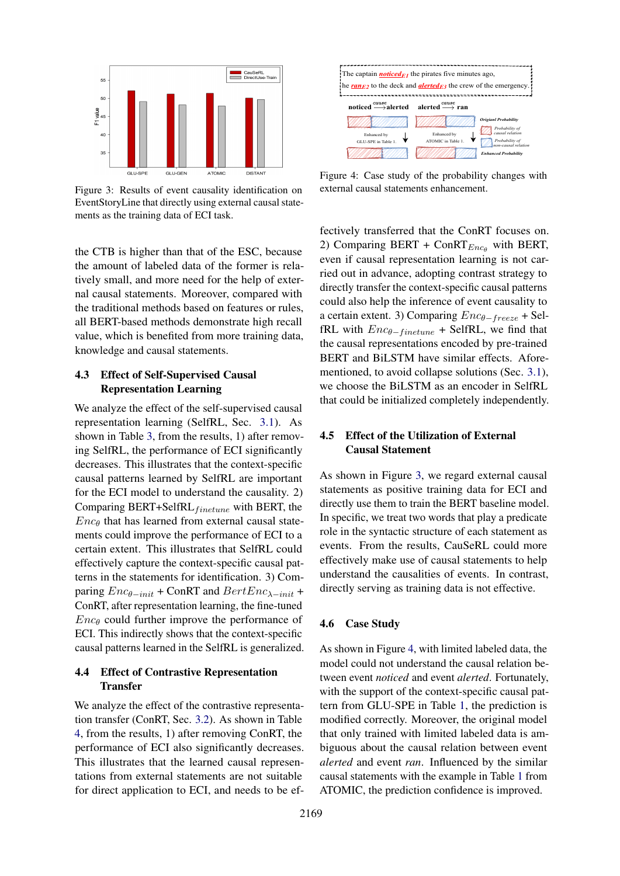<span id="page-7-0"></span>

Figure 3: Results of event causality identification on EventStoryLine that directly using external causal statements as the training data of ECI task.

the CTB is higher than that of the ESC, because the amount of labeled data of the former is relatively small, and more need for the help of external causal statements. Moreover, compared with the traditional methods based on features or rules, all BERT-based methods demonstrate high recall value, which is benefited from more training data, knowledge and causal statements.

## 4.3 Effect of Self-Supervised Causal Representation Learning

We analyze the effect of the self-supervised causal representation learning (SelfRL, Sec. [3.1\)](#page-2-1). As shown in Table [3,](#page-6-0) from the results, 1) after removing SelfRL, the performance of ECI significantly decreases. This illustrates that the context-specific causal patterns learned by SelfRL are important for the ECI model to understand the causality. 2) Comparing BERT+SelfRL $_{finetune}$  with BERT, the  $Enc_{\theta}$  that has learned from external causal statements could improve the performance of ECI to a certain extent. This illustrates that SelfRL could effectively capture the context-specific causal patterns in the statements for identification. 3) Comparing  $Enc_{\theta-int}$  + ConRT and  $BertEnc_{\lambda-int}$  + ConRT, after representation learning, the fine-tuned  $Enc_{\theta}$  could further improve the performance of ECI. This indirectly shows that the context-specific causal patterns learned in the SelfRL is generalized.

### 4.4 Effect of Contrastive Representation **Transfer**

We analyze the effect of the contrastive representation transfer (ConRT, Sec. [3.2\)](#page-3-0). As shown in Table [4,](#page-6-1) from the results, 1) after removing ConRT, the performance of ECI also significantly decreases. This illustrates that the learned causal representations from external statements are not suitable for direct application to ECI, and needs to be ef-

<span id="page-7-1"></span>

Figure 4: Case study of the probability changes with external causal statements enhancement.

fectively transferred that the ConRT focuses on. 2) Comparing BERT + ConRT $_{Enc}$  with BERT, even if causal representation learning is not carried out in advance, adopting contrast strategy to directly transfer the context-specific causal patterns could also help the inference of event causality to a certain extent. 3) Comparing  $Enc_{\theta-freeze}$  + SelfRL with  $Enc_{\theta - finetune}$  + SelfRL, we find that the causal representations encoded by pre-trained BERT and BiLSTM have similar effects. Aforementioned, to avoid collapse solutions (Sec. [3.1\)](#page-2-1), we choose the BiLSTM as an encoder in SelfRL that could be initialized completely independently.

### 4.5 Effect of the Utilization of External Causal Statement

As shown in Figure [3,](#page-7-0) we regard external causal statements as positive training data for ECI and directly use them to train the BERT baseline model. In specific, we treat two words that play a predicate role in the syntactic structure of each statement as events. From the results, CauSeRL could more effectively make use of causal statements to help understand the causalities of events. In contrast, directly serving as training data is not effective.

#### 4.6 Case Study

As shown in Figure [4,](#page-7-1) with limited labeled data, the model could not understand the causal relation between event *noticed* and event *alerted*. Fortunately, with the support of the context-specific causal pattern from GLU-SPE in Table [1,](#page-4-0) the prediction is modified correctly. Moreover, the original model that only trained with limited labeled data is ambiguous about the causal relation between event *alerted* and event *ran*. Influenced by the similar causal statements with the example in Table [1](#page-4-0) from ATOMIC, the prediction confidence is improved.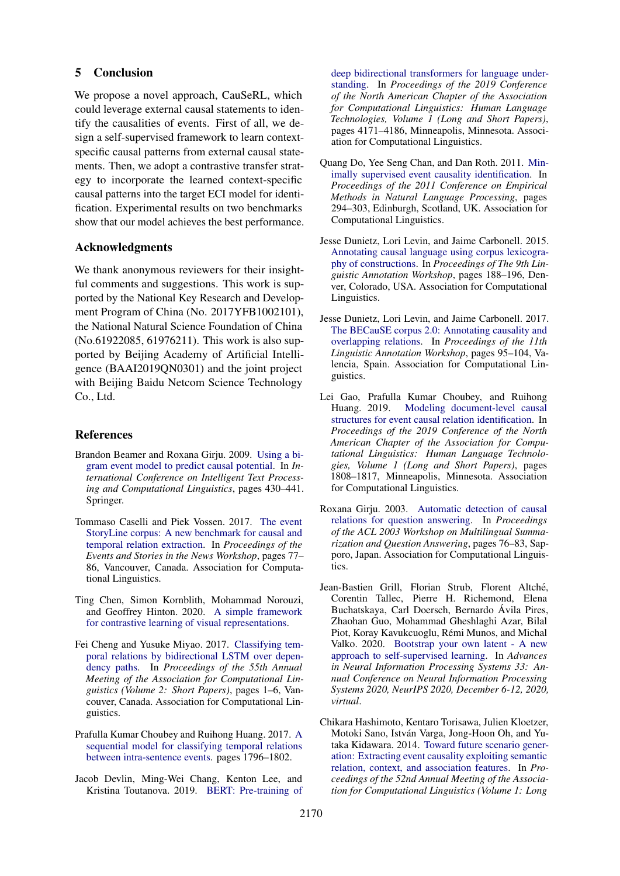#### 5 Conclusion

We propose a novel approach, CauSeRL, which could leverage external causal statements to identify the causalities of events. First of all, we design a self-supervised framework to learn contextspecific causal patterns from external causal statements. Then, we adopt a contrastive transfer strategy to incorporate the learned context-specific causal patterns into the target ECI model for identification. Experimental results on two benchmarks show that our model achieves the best performance.

#### Acknowledgments

We thank anonymous reviewers for their insightful comments and suggestions. This work is supported by the National Key Research and Development Program of China (No. 2017YFB1002101), the National Natural Science Foundation of China (No.61922085, 61976211). This work is also supported by Beijing Academy of Artificial Intelligence (BAAI2019QN0301) and the joint project with Beijing Baidu Netcom Science Technology Co., Ltd.

#### References

- <span id="page-8-6"></span>Brandon Beamer and Roxana Girju. 2009. [Using a bi](https://link.springer.com/chapter/10.1007%2F978-3-642-00382-0_35)[gram event model to predict causal potential.](https://link.springer.com/chapter/10.1007%2F978-3-642-00382-0_35) In *International Conference on Intelligent Text Processing and Computational Linguistics*, pages 430–441. Springer.
- <span id="page-8-3"></span>Tommaso Caselli and Piek Vossen. 2017. [The event](https://doi.org/10.18653/v1/W17-2711) [StoryLine corpus: A new benchmark for causal and](https://doi.org/10.18653/v1/W17-2711) [temporal relation extraction.](https://doi.org/10.18653/v1/W17-2711) In *Proceedings of the Events and Stories in the News Workshop*, pages 77– 86, Vancouver, Canada. Association for Computational Linguistics.
- <span id="page-8-9"></span>Ting Chen, Simon Kornblith, Mohammad Norouzi, and Geoffrey Hinton. 2020. [A simple framework](http://arxiv.org/abs/2002.05709) [for contrastive learning of visual representations.](http://arxiv.org/abs/2002.05709)
- <span id="page-8-11"></span>Fei Cheng and Yusuke Miyao. 2017. [Classifying tem](https://doi.org/10.18653/v1/P17-2001)[poral relations by bidirectional LSTM over depen](https://doi.org/10.18653/v1/P17-2001)[dency paths.](https://doi.org/10.18653/v1/P17-2001) In *Proceedings of the 55th Annual Meeting of the Association for Computational Linguistics (Volume 2: Short Papers)*, pages 1–6, Vancouver, Canada. Association for Computational Linguistics.
- <span id="page-8-12"></span>Prafulla Kumar Choubey and Ruihong Huang. 2017. [A](https://doi.org/10.18653/v1/D17-1190) [sequential model for classifying temporal relations](https://doi.org/10.18653/v1/D17-1190) [between intra-sentence events.](https://doi.org/10.18653/v1/D17-1190) pages 1796–1802.
- <span id="page-8-10"></span>Jacob Devlin, Ming-Wei Chang, Kenton Lee, and Kristina Toutanova. 2019. [BERT: Pre-training of](https://doi.org/10.18653/v1/N19-1423)

[deep bidirectional transformers for language under](https://doi.org/10.18653/v1/N19-1423)[standing.](https://doi.org/10.18653/v1/N19-1423) In *Proceedings of the 2019 Conference of the North American Chapter of the Association for Computational Linguistics: Human Language Technologies, Volume 1 (Long and Short Papers)*, pages 4171–4186, Minneapolis, Minnesota. Association for Computational Linguistics.

- <span id="page-8-5"></span>Quang Do, Yee Seng Chan, and Dan Roth. 2011. [Min](https://www.aclweb.org/anthology/D11-1027)[imally supervised event causality identification.](https://www.aclweb.org/anthology/D11-1027) In *Proceedings of the 2011 Conference on Empirical Methods in Natural Language Processing*, pages 294–303, Edinburgh, Scotland, UK. Association for Computational Linguistics.
- <span id="page-8-8"></span>Jesse Dunietz, Lori Levin, and Jaime Carbonell. 2015. [Annotating causal language using corpus lexicogra](https://doi.org/10.3115/v1/W15-1622)[phy of constructions.](https://doi.org/10.3115/v1/W15-1622) In *Proceedings of The 9th Linguistic Annotation Workshop*, pages 188–196, Denver, Colorado, USA. Association for Computational Linguistics.
- <span id="page-8-7"></span>Jesse Dunietz, Lori Levin, and Jaime Carbonell. 2017. [The BECauSE corpus 2.0: Annotating causality and](https://doi.org/10.18653/v1/W17-0812) [overlapping relations.](https://doi.org/10.18653/v1/W17-0812) In *Proceedings of the 11th Linguistic Annotation Workshop*, pages 95–104, Valencia, Spain. Association for Computational Linguistics.
- <span id="page-8-2"></span>Lei Gao, Prafulla Kumar Choubey, and Ruihong Huang. 2019. [Modeling document-level causal](https://doi.org/10.18653/v1/N19-1179) [structures for event causal relation identification.](https://doi.org/10.18653/v1/N19-1179) In *Proceedings of the 2019 Conference of the North American Chapter of the Association for Computational Linguistics: Human Language Technologies, Volume 1 (Long and Short Papers)*, pages 1808–1817, Minneapolis, Minnesota. Association for Computational Linguistics.
- <span id="page-8-0"></span>Roxana Girju. 2003. [Automatic detection of causal](https://doi.org/10.3115/1119312.1119322) [relations for question answering.](https://doi.org/10.3115/1119312.1119322) In *Proceedings of the ACL 2003 Workshop on Multilingual Summarization and Question Answering*, pages 76–83, Sapporo, Japan. Association for Computational Linguistics.
- <span id="page-8-4"></span>Jean-Bastien Grill, Florian Strub, Florent Altché, Corentin Tallec, Pierre H. Richemond, Elena Buchatskaya, Carl Doersch, Bernardo Avila Pires, ´ Zhaohan Guo, Mohammad Gheshlaghi Azar, Bilal Piot, Koray Kavukcuoglu, Rémi Munos, and Michal Valko. 2020. [Bootstrap your own latent - A new](https://proceedings.neurips.cc/paper/2020/hash/f3ada80d5c4ee70142b17b8192b2958e-Abstract.html) [approach to self-supervised learning.](https://proceedings.neurips.cc/paper/2020/hash/f3ada80d5c4ee70142b17b8192b2958e-Abstract.html) In *Advances in Neural Information Processing Systems 33: Annual Conference on Neural Information Processing Systems 2020, NeurIPS 2020, December 6-12, 2020, virtual*.
- <span id="page-8-1"></span>Chikara Hashimoto, Kentaro Torisawa, Julien Kloetzer, Motoki Sano, István Varga, Jong-Hoon Oh, and Yutaka Kidawara. 2014. [Toward future scenario gener](https://doi.org/10.3115/v1/P14-1093)[ation: Extracting event causality exploiting semantic](https://doi.org/10.3115/v1/P14-1093) [relation, context, and association features.](https://doi.org/10.3115/v1/P14-1093) In *Proceedings of the 52nd Annual Meeting of the Association for Computational Linguistics (Volume 1: Long*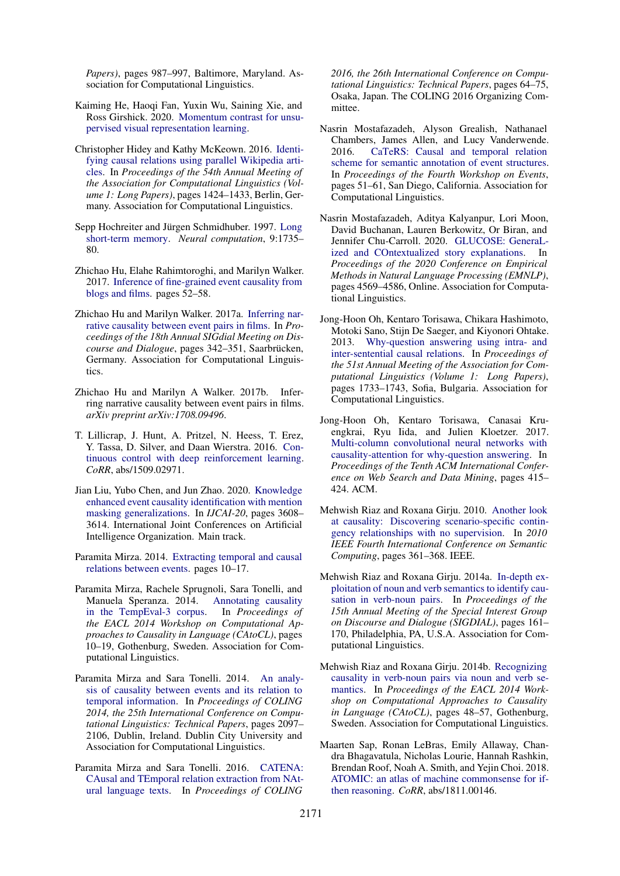*Papers)*, pages 987–997, Baltimore, Maryland. Association for Computational Linguistics.

- <span id="page-9-16"></span>Kaiming He, Haoqi Fan, Yuxin Wu, Saining Xie, and Ross Girshick. 2020. [Momentum contrast for unsu](http://arxiv.org/abs/1911.05722)[pervised visual representation learning.](http://arxiv.org/abs/1911.05722)
- <span id="page-9-11"></span>Christopher Hidey and Kathy McKeown. 2016. [Identi](https://doi.org/10.18653/v1/P16-1135)[fying causal relations using parallel Wikipedia arti](https://doi.org/10.18653/v1/P16-1135)[cles.](https://doi.org/10.18653/v1/P16-1135) In *Proceedings of the 54th Annual Meeting of the Association for Computational Linguistics (Volume 1: Long Papers)*, pages 1424–1433, Berlin, Germany. Association for Computational Linguistics.
- <span id="page-9-18"></span>Sepp Hochreiter and Jürgen Schmidhuber. 1997. [Long](https://doi.org/10.1162/neco.1997.9.8.1735) [short-term memory.](https://doi.org/10.1162/neco.1997.9.8.1735) *Neural computation*, 9:1735– 80.
- <span id="page-9-12"></span>Zhichao Hu, Elahe Rahimtoroghi, and Marilyn Walker. 2017. [Inference of fine-grained event causality from](https://doi.org/10.18653/v1/W17-2708) [blogs and films.](https://doi.org/10.18653/v1/W17-2708) pages 52–58.
- <span id="page-9-8"></span>Zhichao Hu and Marilyn Walker. 2017a. [Inferring nar](https://doi.org/10.18653/v1/W17-5540)[rative causality between event pairs in films.](https://doi.org/10.18653/v1/W17-5540) In *Proceedings of the 18th Annual SIGdial Meeting on Discourse and Dialogue*, pages 342–351, Saarbrücken, Germany. Association for Computational Linguistics.
- <span id="page-9-4"></span>Zhichao Hu and Marilyn A Walker. 2017b. Inferring narrative causality between event pairs in films. *arXiv preprint arXiv:1708.09496*.
- <span id="page-9-17"></span>T. Lillicrap, J. Hunt, A. Pritzel, N. Heess, T. Erez, Y. Tassa, D. Silver, and Daan Wierstra. 2016. [Con](https://arxiv.org/pdf/1509.02971.pdf)[tinuous control with deep reinforcement learning.](https://arxiv.org/pdf/1509.02971.pdf) *CoRR*, abs/1509.02971.
- <span id="page-9-5"></span>Jian Liu, Yubo Chen, and Jun Zhao. 2020. [Knowledge](https://www.ijcai.org/proceedings/2020/499) [enhanced event causality identification with mention](https://www.ijcai.org/proceedings/2020/499) [masking generalizations.](https://www.ijcai.org/proceedings/2020/499) In *IJCAI-20*, pages 3608– 3614. International Joint Conferences on Artificial Intelligence Organization. Main track.
- <span id="page-9-19"></span>Paramita Mirza. 2014. [Extracting temporal and causal](https://doi.org/10.3115/v1/P14-3002) [relations between events.](https://doi.org/10.3115/v1/P14-3002) pages 10–17.
- <span id="page-9-13"></span>Paramita Mirza, Rachele Sprugnoli, Sara Tonelli, and Manuela Speranza. 2014. [Annotating causality](https://doi.org/10.3115/v1/W14-0702) [in the TempEval-3 corpus.](https://doi.org/10.3115/v1/W14-0702) In *Proceedings of the EACL 2014 Workshop on Computational Approaches to Causality in Language (CAtoCL)*, pages 10–19, Gothenburg, Sweden. Association for Computational Linguistics.
- <span id="page-9-14"></span>Paramita Mirza and Sara Tonelli. 2014. [An analy](https://www.aclweb.org/anthology/C14-1198)[sis of causality between events and its relation to](https://www.aclweb.org/anthology/C14-1198) [temporal information.](https://www.aclweb.org/anthology/C14-1198) In *Proceedings of COLING 2014, the 25th International Conference on Computational Linguistics: Technical Papers*, pages 2097– 2106, Dublin, Ireland. Dublin City University and Association for Computational Linguistics.
- <span id="page-9-3"></span>Paramita Mirza and Sara Tonelli. 2016. [CATENA:](https://www.aclweb.org/anthology/C16-1007) [CAusal and TEmporal relation extraction from NAt](https://www.aclweb.org/anthology/C16-1007)[ural language texts.](https://www.aclweb.org/anthology/C16-1007) In *Proceedings of COLING*

*2016, the 26th International Conference on Computational Linguistics: Technical Papers*, pages 64–75, Osaka, Japan. The COLING 2016 Organizing Committee.

- <span id="page-9-15"></span>Nasrin Mostafazadeh, Alyson Grealish, Nathanael Chambers, James Allen, and Lucy Vanderwende. 2016. [CaTeRS: Causal and temporal relation](https://doi.org/10.18653/v1/W16-1007) [scheme for semantic annotation of event structures.](https://doi.org/10.18653/v1/W16-1007) In *Proceedings of the Fourth Workshop on Events*, pages 51–61, San Diego, California. Association for Computational Linguistics.
- <span id="page-9-7"></span>Nasrin Mostafazadeh, Aditya Kalyanpur, Lori Moon, David Buchanan, Lauren Berkowitz, Or Biran, and Jennifer Chu-Carroll. 2020. [GLUCOSE: GeneraL](https://doi.org/10.18653/v1/2020.emnlp-main.370)[ized and COntextualized story explanations.](https://doi.org/10.18653/v1/2020.emnlp-main.370) In *Proceedings of the 2020 Conference on Empirical Methods in Natural Language Processing (EMNLP)*, pages 4569–4586, Online. Association for Computational Linguistics.
- <span id="page-9-0"></span>Jong-Hoon Oh, Kentaro Torisawa, Chikara Hashimoto, Motoki Sano, Stijn De Saeger, and Kiyonori Ohtake. 2013. [Why-question answering using intra- and](https://www.aclweb.org/anthology/P13-1170) [inter-sentential causal relations.](https://www.aclweb.org/anthology/P13-1170) In *Proceedings of the 51st Annual Meeting of the Association for Computational Linguistics (Volume 1: Long Papers)*, pages 1733–1743, Sofia, Bulgaria. Association for Computational Linguistics.
- <span id="page-9-1"></span>Jong-Hoon Oh, Kentaro Torisawa, Canasai Kruengkrai, Ryu Iida, and Julien Kloetzer. 2017. [Multi-column convolutional neural networks with](https://dl.acm.org/doi/pdf/10.1145/3018661.3018737) [causality-attention for why-question answering.](https://dl.acm.org/doi/pdf/10.1145/3018661.3018737) In *Proceedings of the Tenth ACM International Conference on Web Search and Data Mining*, pages 415– 424. ACM.
- <span id="page-9-10"></span>Mehwish Riaz and Roxana Girju. 2010. [Another look](https://ieeexplore.ieee.org/stamp/stamp.jsp?tp=&arnumber=5629128&tag=1) [at causality: Discovering scenario-specific contin](https://ieeexplore.ieee.org/stamp/stamp.jsp?tp=&arnumber=5629128&tag=1)[gency relationships with no supervision.](https://ieeexplore.ieee.org/stamp/stamp.jsp?tp=&arnumber=5629128&tag=1) In *2010 IEEE Fourth International Conference on Semantic Computing*, pages 361–368. IEEE.
- <span id="page-9-9"></span>Mehwish Riaz and Roxana Girju. 2014a. [In-depth ex](https://doi.org/10.3115/v1/W14-4322)[ploitation of noun and verb semantics to identify cau](https://doi.org/10.3115/v1/W14-4322)[sation in verb-noun pairs.](https://doi.org/10.3115/v1/W14-4322) In *Proceedings of the 15th Annual Meeting of the Special Interest Group on Discourse and Dialogue (SIGDIAL)*, pages 161– 170, Philadelphia, PA, U.S.A. Association for Computational Linguistics.
- <span id="page-9-2"></span>Mehwish Riaz and Roxana Girju. 2014b. [Recognizing](https://doi.org/10.3115/v1/W14-0707) [causality in verb-noun pairs via noun and verb se](https://doi.org/10.3115/v1/W14-0707)[mantics.](https://doi.org/10.3115/v1/W14-0707) In *Proceedings of the EACL 2014 Workshop on Computational Approaches to Causality in Language (CAtoCL)*, pages 48–57, Gothenburg, Sweden. Association for Computational Linguistics.
- <span id="page-9-6"></span>Maarten Sap, Ronan LeBras, Emily Allaway, Chandra Bhagavatula, Nicholas Lourie, Hannah Rashkin, Brendan Roof, Noah A. Smith, and Yejin Choi. 2018. [ATOMIC: an atlas of machine commonsense for if](http://arxiv.org/abs/1811.00146)[then reasoning.](http://arxiv.org/abs/1811.00146) *CoRR*, abs/1811.00146.